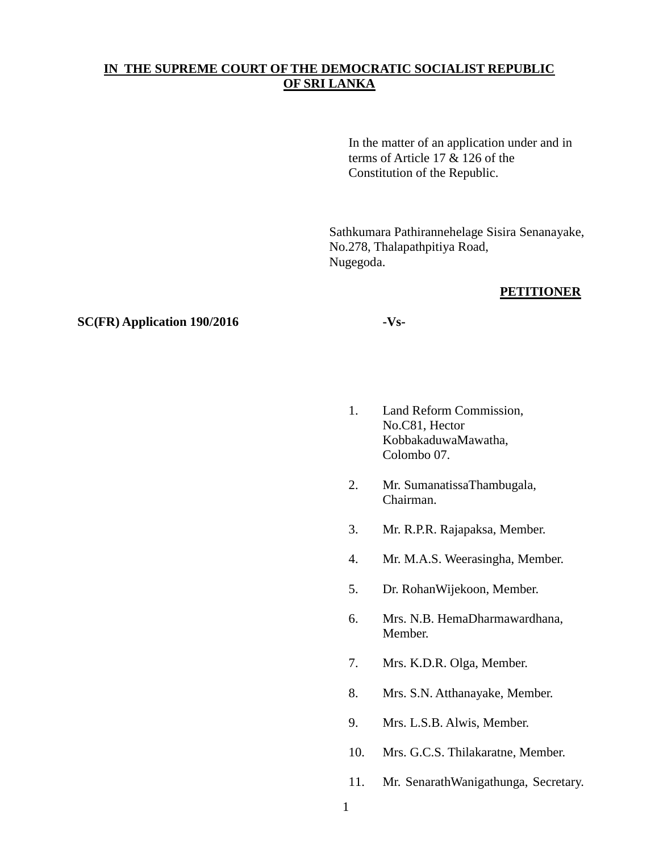# **IN THE SUPREME COURT OF THE DEMOCRATIC SOCIALIST REPUBLIC OF SRI LANKA**

In the matter of an application under and in terms of Article 17 & 126 of the Constitution of the Republic.

Sathkumara Pathirannehelage Sisira Senanayake, No.278, Thalapathpitiya Road, Nugegoda.

## **PETITIONER**

### **SC(FR) Application 190/2016 -Vs-**

- 1. Land Reform Commission, No.C81, Hector KobbakaduwaMawatha, Colombo 07.
- 2. Mr. SumanatissaThambugala, Chairman.
- 3. Mr. R.P.R. Rajapaksa, Member.
- 4. Mr. M.A.S. Weerasingha, Member.
- 5. Dr. RohanWijekoon, Member.
- 6. Mrs. N.B. HemaDharmawardhana, Member.
- 7. Mrs. K.D.R. Olga, Member.
- 8. Mrs. S.N. Atthanayake, Member.
- 9. Mrs. L.S.B. Alwis, Member.
- 10. Mrs. G.C.S. Thilakaratne, Member.
- 11. Mr. SenarathWanigathunga, Secretary.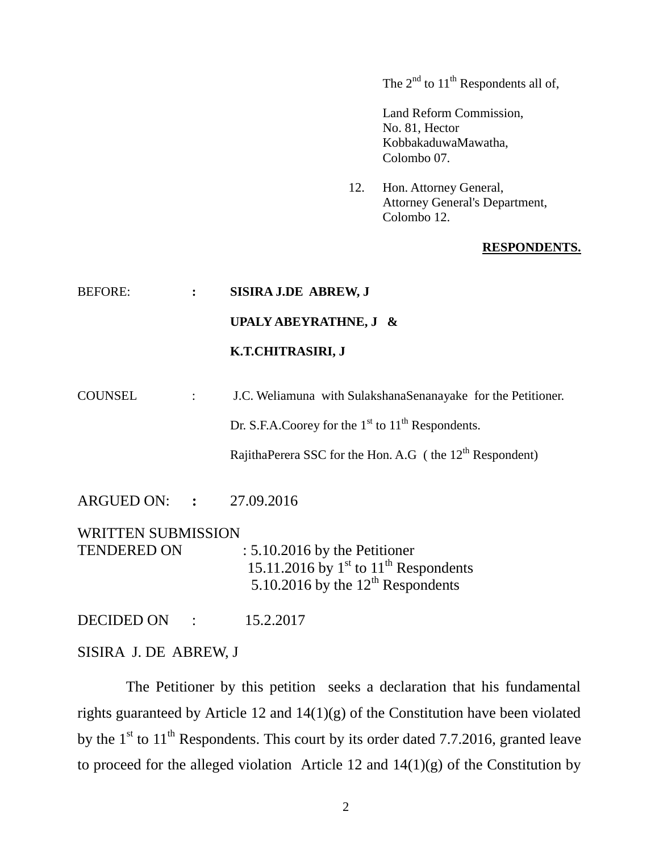The  $2<sup>nd</sup>$  to  $11<sup>th</sup>$  Respondents all of,

Land Reform Commission, No. 81, Hector KobbakaduwaMawatha, Colombo 07.

12. Hon. Attorney General, Attorney General's Department, Colombo 12.

#### **RESPONDENTS.**

## BEFORE: **: SISIRA J.DE ABREW, J**

# **UPALY ABEYRATHNE, J &**

## **K.T.CHITRASIRI, J**

COUNSEL : J.C. Weliamuna with SulakshanaSenanayake for the Petitioner.

Dr. S.F.A.Coorey for the  $1<sup>st</sup>$  to  $11<sup>th</sup>$  Respondents.

RajithaPerera SSC for the Hon. A.G (the 12<sup>th</sup> Respondent)

ARGUED ON: **:** 27.09.2016

WRITTEN SUBMISSION TENDERED ON : 5.10.2016 by the Petitioner 15.11.2016 by  $1<sup>st</sup>$  to  $11<sup>th</sup>$  Respondents 5.10.2016 by the  $12<sup>th</sup>$  Respondents

DECIDED ON :15.2.2017

SISIRA J. DE ABREW, J

 The Petitioner by this petition seeks a declaration that his fundamental rights guaranteed by Article 12 and 14(1)(g) of the Constitution have been violated by the  $1<sup>st</sup>$  to  $11<sup>th</sup>$  Respondents. This court by its order dated 7.7.2016, granted leave to proceed for the alleged violation Article 12 and  $14(1)(g)$  of the Constitution by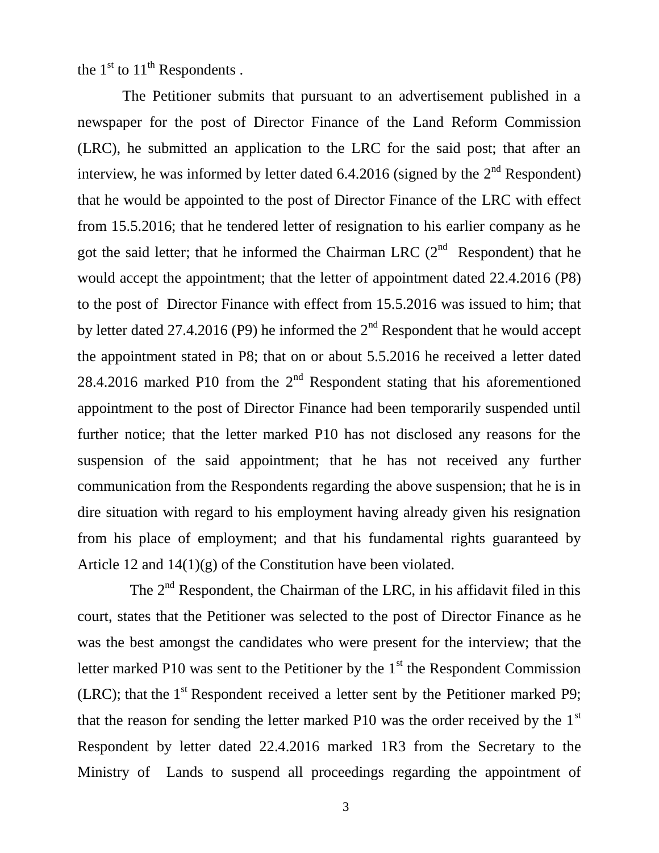the  $1<sup>st</sup>$  to  $11<sup>th</sup>$  Respondents .

 The Petitioner submits that pursuant to an advertisement published in a newspaper for the post of Director Finance of the Land Reform Commission (LRC), he submitted an application to the LRC for the said post; that after an interview, he was informed by letter dated 6.4.2016 (signed by the  $2<sup>nd</sup>$  Respondent) that he would be appointed to the post of Director Finance of the LRC with effect from 15.5.2016; that he tendered letter of resignation to his earlier company as he got the said letter; that he informed the Chairman LRC  $(2^{nd}$  Respondent) that he would accept the appointment; that the letter of appointment dated 22.4.2016 (P8) to the post of Director Finance with effect from 15.5.2016 was issued to him; that by letter dated 27.4.2016 (P9) he informed the  $2<sup>nd</sup>$  Respondent that he would accept the appointment stated in P8; that on or about 5.5.2016 he received a letter dated 28.4.2016 marked P10 from the  $2<sup>nd</sup>$  Respondent stating that his aforementioned appointment to the post of Director Finance had been temporarily suspended until further notice; that the letter marked P10 has not disclosed any reasons for the suspension of the said appointment; that he has not received any further communication from the Respondents regarding the above suspension; that he is in dire situation with regard to his employment having already given his resignation from his place of employment; and that his fundamental rights guaranteed by Article 12 and  $14(1)(g)$  of the Constitution have been violated.

The  $2<sup>nd</sup>$  Respondent, the Chairman of the LRC, in his affidavit filed in this court, states that the Petitioner was selected to the post of Director Finance as he was the best amongst the candidates who were present for the interview; that the letter marked P10 was sent to the Petitioner by the  $1<sup>st</sup>$  the Respondent Commission (LRC); that the  $1<sup>st</sup>$  Respondent received a letter sent by the Petitioner marked P9; that the reason for sending the letter marked P10 was the order received by the  $1<sup>st</sup>$ Respondent by letter dated 22.4.2016 marked 1R3 from the Secretary to the Ministry of Lands to suspend all proceedings regarding the appointment of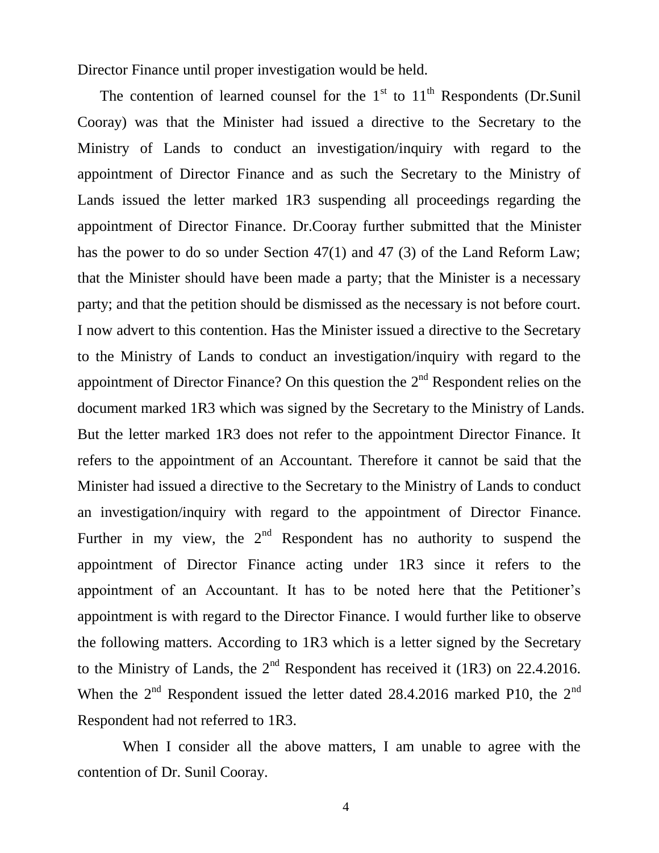Director Finance until proper investigation would be held.

The contention of learned counsel for the  $1<sup>st</sup>$  to  $11<sup>th</sup>$  Respondents (Dr.Sunil Cooray) was that the Minister had issued a directive to the Secretary to the Ministry of Lands to conduct an investigation/inquiry with regard to the appointment of Director Finance and as such the Secretary to the Ministry of Lands issued the letter marked 1R3 suspending all proceedings regarding the appointment of Director Finance. Dr.Cooray further submitted that the Minister has the power to do so under Section 47(1) and 47 (3) of the Land Reform Law; that the Minister should have been made a party; that the Minister is a necessary party; and that the petition should be dismissed as the necessary is not before court. I now advert to this contention. Has the Minister issued a directive to the Secretary to the Ministry of Lands to conduct an investigation/inquiry with regard to the appointment of Director Finance? On this question the  $2<sup>nd</sup>$  Respondent relies on the document marked 1R3 which was signed by the Secretary to the Ministry of Lands. But the letter marked 1R3 does not refer to the appointment Director Finance. It refers to the appointment of an Accountant. Therefore it cannot be said that the Minister had issued a directive to the Secretary to the Ministry of Lands to conduct an investigation/inquiry with regard to the appointment of Director Finance. Further in my view, the  $2<sup>nd</sup>$  Respondent has no authority to suspend the appointment of Director Finance acting under 1R3 since it refers to the appointment of an Accountant. It has to be noted here that the Petitioner's appointment is with regard to the Director Finance. I would further like to observe the following matters. According to 1R3 which is a letter signed by the Secretary to the Ministry of Lands, the  $2<sup>nd</sup>$  Respondent has received it (1R3) on 22.4.2016. When the  $2<sup>nd</sup>$  Respondent issued the letter dated 28.4.2016 marked P10, the  $2<sup>nd</sup>$ Respondent had not referred to 1R3.

 When I consider all the above matters, I am unable to agree with the contention of Dr. Sunil Cooray.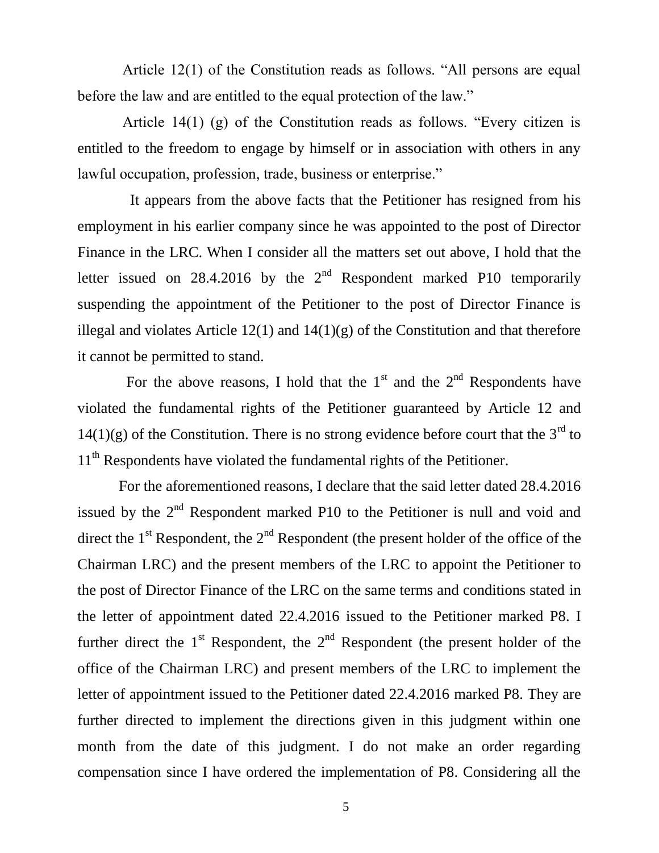Article 12(1) of the Constitution reads as follows. "All persons are equal before the law and are entitled to the equal protection of the law."

 Article 14(1) (g) of the Constitution reads as follows. "Every citizen is entitled to the freedom to engage by himself or in association with others in any lawful occupation, profession, trade, business or enterprise."

 It appears from the above facts that the Petitioner has resigned from his employment in his earlier company since he was appointed to the post of Director Finance in the LRC. When I consider all the matters set out above, I hold that the letter issued on 28.4.2016 by the  $2<sup>nd</sup>$  Respondent marked P10 temporarily suspending the appointment of the Petitioner to the post of Director Finance is illegal and violates Article  $12(1)$  and  $14(1)(g)$  of the Constitution and that therefore it cannot be permitted to stand.

For the above reasons, I hold that the  $1<sup>st</sup>$  and the  $2<sup>nd</sup>$  Respondents have violated the fundamental rights of the Petitioner guaranteed by Article 12 and  $14(1)(g)$  of the Constitution. There is no strong evidence before court that the 3<sup>rd</sup> to 11<sup>th</sup> Respondents have violated the fundamental rights of the Petitioner.

 For the aforementioned reasons, I declare that the said letter dated 28.4.2016 issued by the  $2<sup>nd</sup>$  Respondent marked P10 to the Petitioner is null and void and direct the  $1<sup>st</sup>$  Respondent, the  $2<sup>nd</sup>$  Respondent (the present holder of the office of the Chairman LRC) and the present members of the LRC to appoint the Petitioner to the post of Director Finance of the LRC on the same terms and conditions stated in the letter of appointment dated 22.4.2016 issued to the Petitioner marked P8. I further direct the  $1<sup>st</sup>$  Respondent, the  $2<sup>nd</sup>$  Respondent (the present holder of the office of the Chairman LRC) and present members of the LRC to implement the letter of appointment issued to the Petitioner dated 22.4.2016 marked P8. They are further directed to implement the directions given in this judgment within one month from the date of this judgment. I do not make an order regarding compensation since I have ordered the implementation of P8. Considering all the